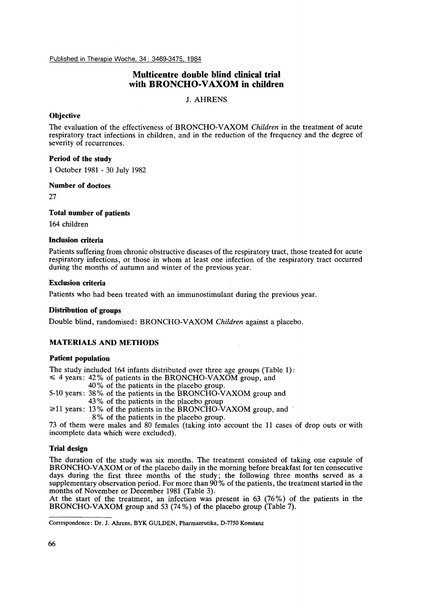Published in Therapie Woche, 34: 3469-3475, 1984

# **Multicentre double blind clinical trial with BRONCHO-VAXOM in children**

J. AHRENS

### **Objective**

The evaluation of the effectiveness of BRONCHO-VAXOM *Children* in the treatment of acute respiratory tract infections in children, and in the reduction of the frequency and the degree of severity of recurrences.

#### **Period of the study**

1 October 1981 - 30 July 1982

#### **Number of doctors**

27

**Total number of patients** 

164 children

## **Inclusion criteria**

Patients suffering from chronic obstructive diseases of the respiratory tract, those treated for acute respiratory infections, or those in whom at least one infection of the respiratory tract occurred during the months of autumn and winter of the previous year.

#### **Exclusion criteria**

Patients who had been treated with an immunostimulant during the previous year.

### **Distribution of groups**

Double blind, randomised: BRONCHO-VAXOM *Children* against a placebo.

### **MATERIALS AND METHODS**

## **Patient population**

The study included 164 infants distributed over three age groups (Table 1):

- $\leq$  4 years: 42% of patients in the BRONCHO-VAXOM group, and
	- 40% of the patients in the placebo group.
- 5-10 years: 38% of the patients in the BRONCHO-VAXOM group and 43% of the patients in the placebo group
- $\geq 11$  years: 13% of the patients in the BRONCHO-VAXOM group, and
- 8% of the patients in the placebo group.

73 of them were males and 80 females (taking into account the 11 cases of drop outs or with incomplete data which were excluded).

### **Trial design**

The duration of the study was six months. The treatment consisted of taking one capsule of BRONCHO-VAXOM or of the placebo daily in the morning before breakfast for ten consecutive days during the first three months of the study; the following three months served as a supplementary observation period. For more than 90% of the patients, the treatment started in the months of November or December 1981 (Table 3).

At the start of the treatment, an infection was present in 63 (76%) of the patients in the BRONCHO-VAXOM group and 53 (74%) of the placebo group (Table 7).

**Correspondence: Dr. J. Ahrens, BYK** GULDEN, **Pharmazeutika,** D-7750 **Konstanz**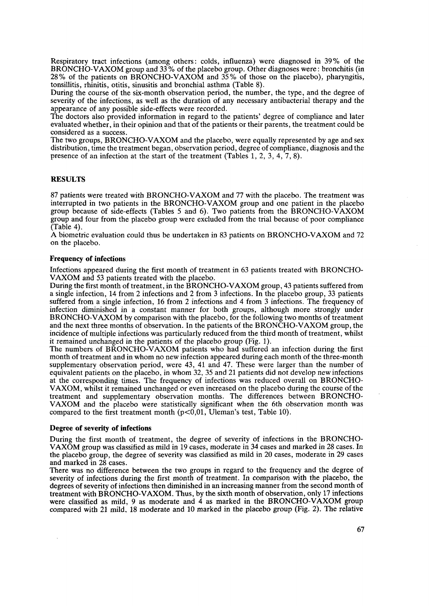Respiratory tract infections (among others: colds, influenza) were diagnosed in 39% of the BRONCHO-VAXOM group and 33 *Yo* of the placebo group. Other diagnoses were : bronchitis (in 28% of the patients on BRONCHO-VAXOM and 35% of those on the placebo), pharyngitis, tonsillitis, rhinitis, otitis, sinusitis and bronchial asthma (Table 8).

During the course of the six-month observation period, the number, the type, and the degree of severity of the infections, as well as the duration of any necessary antibacterial therapy and the appearance of any possible side-effects were recorded.

The doctors also provided information in regard to the patients' degree of compliance and later evaluated whether, in their opinion and that of the patients or their parents, the treatment could be considered as a success.

The two groups, BRONCHO-VAXOM and the placebo, were equally represented by age and sex distribution, time the treatment began, observation period, degree of compliance, diagnosis and the presence of an infection at the start of the treatment (Tables 1, 2, *3,* 4, *7,8).* 

### **RESULTS**

87 patients were treated with BRONCHO-VAXOM and 77 with the placebo. The treatment was interrupted in two patients in the BRONCHO-VAXOM group and one patient in the placebo group because of side-effects (Tables 5 and 6). Two patients from the BRONCHO-VAXOM group and four from the placebo group were excluded from the trial because of poor compliance (Table 4).

A biometric evaluation could thus be undertaken in **83** patients on BRONCHO-VAXOM and 72 on the placebo.

#### **Frequency of infections**

Infections appeared during the first month of treatment in 63 patients treated with BRONCHO-VAXOM and 53 patients treated with the placebo.

During the first month of treatment, in the BRONCHO-VAXOM group, 43 patients suffered from a single infection, 14 from 2 infections and 2 from 3 infections. In the placebo group, 33 patients suffered from a single infection, 16 from **2** infections and 4 from 3 infections. The frequency of infection diminished in a constant manner for both groups, although more strongly under BRONCHO-VAXOM by comparison with the placebo, for the following two months of treatment and the next three months of observation. In the patients of the BRONCHO-VAXOM group, the incidence of multiple infections was particularly reduced from the third month of treatment, whilst it remained unchanged in the patients of the placebo group (Fig. 1).

The numbers of BRONCHO-VAXOM patients who had suffered an infection during the first month of treatment and in whom no new infection appeared during each month of the three-month supplementary observation period, were 43, 41 and 47. These were larger than the number of equivalent patients on the placebo, in whom 32, **35** and 21 patients did not develop new infections at the corresponding times. The frequency of infections was reduced overall on BRONCHO-VAXOM, whilst it remained unchanged or even increased on the placebo during the course of the treatment and supplementary observation months. The differences between BRONCHO-VAXOM and the placebo were statistically significant when the 6th observation month was compared to the first treatment month  $(p<0.01$ , Uleman's test, [Table 10\).](#page-6-0)

#### **Degree of severity of infections**

During the first month of treatment, the degree of severity of infections in the BRONCHO-VAXOM group was classified as mild in 19 cases, moderate in **34** cases and marked in 28 cases. In the placebo group, the degree of severity was classified as mild in 20 cases, moderate in 29 cases and marked in 28 cases.

There was no difference between the two groups in regard to the frequency and the degree of severity of infections during the first month of treatment. In comparison with the placebo, the degrees of severity of infections then diminished in an increasing manner from the second month of treatment with BRONCHO-VAXOM. Thus, by the sixth month of observation, only 17 infections were classified as mild, 9 as moderate and **4** as marked in the BRONCHO-VAXOM group compared with 21 mild, **18** moderate and 10 marked in the placebo group (Fig. **2).** The relative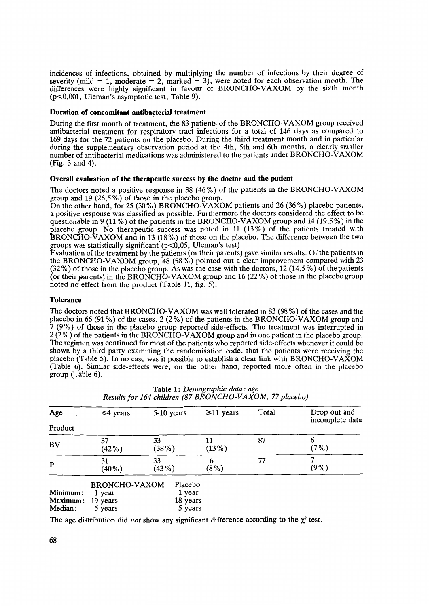incidences of infections, obtained by multiplying the number of infections by their degree of severity (mild = 1, moderate = 2, marked = 3), were noted for each observation month. The differences were highly significant in favour of BRONCHO-VAXOM by the sixth month (p<O,OOl, Uleman's asymptotic test, Table 9).

#### **Duration of concomitant antibacterial treatment**

During the first month of treatment, the 83 patients of the BRONCHO-VAXOM group received antibacterial treatment for respiratory tract infections for a total **of** 146 days as compared to 169 days for the 72 patients on the placebo. During the third treatment month and in particular during the supplementary observation period at the 4th, 5th and 6th months, a clearly smaller number of antibacterial medications was administered to the patients under BRONCHO-VAXOM (Fig. 3 and 4).

#### **Overall evaluation of the therapeutic success by the doctor and the patient**

The doctors noted a positive response in 38 (46%) of the patients in the BRONCHO-VAXOM group and 19 (26,5%) **of** those in the placebo group.

On the other hand, for 25 (30%) BRONCHO-VAXOM patients and 26 (36%) placebo patients, a positive response was classified as possible. Furthermore the doctors considered the effect to be questionable in 9 (11 **Yo)** of the patients in the BRONCHO-VAXOM group and **14** (19,5 *YO)* in the placebo group. No therapeutic success was noted in 11 (13%) of the patients treated with BRONCHO-VAXOM and in 13 (18%) of those on the placebo. The difference between the two groups was statistically significant  $(p<0.05$ , Uleman's test).

Evaluation of the treatment by the patients (or their parents) gave similar results. Of the patients in the BRONCHO-VAXOM group, 48 (58%) pointed out a clear improvement compared with 23 (32%) **of** those in the placebo group. As was the case with the doctors, 12 (14,5 *YO)* of the patients (or their parents) in the BRONCHO-VAXOM group and 16 (22%) of those in the placebo group noted no effect from the product [\(Table 11,](#page-6-0) fig. 5).

#### **Tolerance**

The doctors noted that BRONCHO-VAXOM was well tolerated in 83 (98%) of the cases and the placebo in 66 (91%) of the cases. 2 (2%) of the patients in the BRONCHO-VAXOM group and **7** (9%) of those **in** the placebo group reported side-effects. The treatment was interrupted in 2 (2 **YO) of** the patients in the BRONCHO-VAXOM group and in one patient in the placebo group. The regimen was continued for most of the patients who reported side-effects whenever it could be shown by a third party examining the randomisation code, that the patients were receiving the placebo (Table 5). In no case was it possible to establish a clear link with BRONCHO-VAXOM (Table 6). Similar side-effects were, on the other hand, reported more often in the placebo group (Table 6).

| Age                 | $\leq 4$ years                 | 5-10 years          | $\geq 11$ years | Total | Drop out and<br>incomplete data |
|---------------------|--------------------------------|---------------------|-----------------|-------|---------------------------------|
| Product             |                                |                     |                 |       |                                 |
| <b>BV</b>           | 37<br>$(42\%)$                 | 33<br>(38%)         | $(13\%)$        | 87    | (7%)                            |
| P                   | 31<br>$(40\%)$                 | 33<br>(43%)         | 6<br>$(8\%)$    | 77    | $(9\%)$                         |
| Minimum:            | <b>BRONCHO-VAXOM</b><br>1 year | Placebo<br>1 year   |                 |       |                                 |
| Maximum:<br>Median: | 19 years<br>5 years            | 18 years<br>5 years |                 |       |                                 |

|  | <b>Table 1:</b> Demographic data: age                   |  |
|--|---------------------------------------------------------|--|
|  | Results for 164 children (87 BRONCHO-VAXOM, 77 placebo) |  |

The age distribution did *not* show any significant difference according to the  $\chi^2$  test.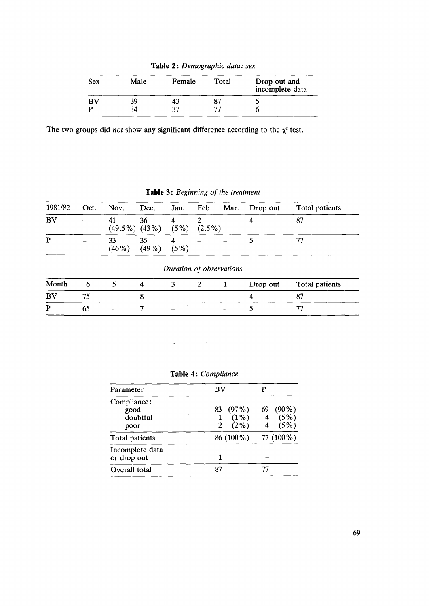**Table 2:** *Demographic data: sex* 

| Sex | Male | Female | Total | Drop out and<br>incomplete data |
|-----|------|--------|-------|---------------------------------|
| BV  | 39   | 43     |       |                                 |
|     | 34   | 27     | 75    |                                 |

The two groups did *not* show any significant difference according to the  $\chi^2$  test.

**Table 3:** *Beginning of the treatment* 

| 1981/82     | Oct. | Nov.                      | Dec.           | Jan.                               | Feb.                     | Mar. | Drop out | Total patients       |
|-------------|------|---------------------------|----------------|------------------------------------|--------------------------|------|----------|----------------------|
| BV          |      | 41<br>$(49,5\%)$ $(43\%)$ | 36             | $\overline{\bf 4}$<br>(5%)         | 2<br>$(2,5\%)$           |      |          | 87                   |
| P           |      | 33<br>(46%)               | 35<br>$(49\%)$ | $\overline{\mathbf{4}}$<br>$(5\%)$ |                          |      | 5        |                      |
|             |      |                           |                |                                    |                          |      |          |                      |
|             |      |                           |                |                                    | Duration of observations |      |          |                      |
|             | 6    | 5                         | 4              | 3                                  | 2                        |      | Drop out |                      |
| Month<br>BV | 75   |                           | 8              |                                    |                          |      |          | Total patients<br>87 |



| BV        |                           |
|-----------|---------------------------|
|           |                           |
|           | $(90\%)$<br>69            |
| (2%)      | $(5\%)$<br>$(5\%)$        |
| 86 (100%) | 77 (100 %)                |
|           |                           |
| 87        |                           |
|           | $(97\%)$<br>83<br>$(1\%)$ |

**Table 4:** *Compliance*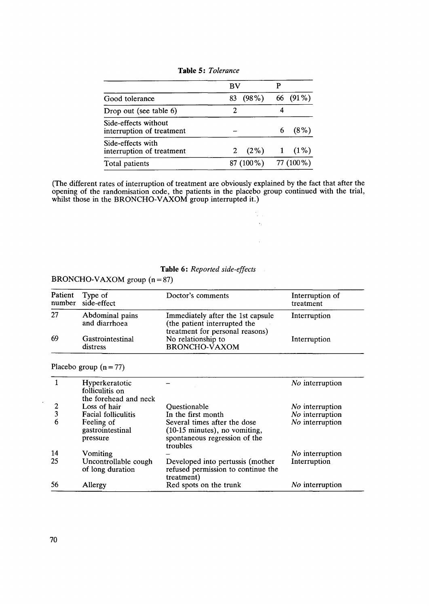|  |  | <b>Table 5: Tolerance</b> |
|--|--|---------------------------|
|--|--|---------------------------|

|                                                   | BV         |            |
|---------------------------------------------------|------------|------------|
| Good tolerance                                    | 83 (98%)   | 66 (91%)   |
| Drop out (see table 6)                            |            |            |
| Side-effects without<br>interruption of treatment |            | $(8\%)$    |
| Side-effects with<br>interruption of treatment    | 2 $(2\%)$  | $1(1\%)$   |
| Total patients                                    | 87 (100 %) | 77 (100 %) |

(The different rates of interruption of treatment are obviously explained by the fact that after the opening of the randomisation code, the patients in the placebo group continued with the trial, whilst those in the BRONCHO-VAXOM group interrupted it.)

> $\frac{1}{2} \frac{1}{2}$  .  $\mathbf{v}_t$

> > $\bar{\mathcal{L}}$

# **Table** *6* : *Reported side-effects*

BRONCHO-VAXOM group  $(n = 87)$ 

| Patient | Type of<br>number side-effect    | Doctor's comments                                                                                    | Interruption of<br>treatment |
|---------|----------------------------------|------------------------------------------------------------------------------------------------------|------------------------------|
| 27      | Abdominal pains<br>and diarrhoea | Immediately after the 1st capsule<br>(the patient interrupted the<br>treatment for personal reasons) | Interruption                 |
| 69      | Gastrointestinal<br>distress     | No relationship to<br><b>BRONCHO-VAXOM</b>                                                           | Interruption                 |

Placebo group  $(n = 77)$ 

|                | Hyperkeratotic<br>folliculitis on<br>the forehead and neck |                                                                                                            | No interruption        |
|----------------|------------------------------------------------------------|------------------------------------------------------------------------------------------------------------|------------------------|
| 2              | Loss of hair                                               | Ouestionable                                                                                               | <i>No</i> interruption |
| $\overline{3}$ | Facial folliculitis                                        | In the first month                                                                                         | No interruption        |
| 6              | Feeling of<br>gastrointestinal<br>pressure                 | Several times after the dose<br>(10-15 minutes), no vomiting,<br>spontaneous regression of the<br>troubles | No interruption        |
| 14             | Vomiting                                                   |                                                                                                            | <i>No</i> interruption |
| 25             | Uncontrollable cough<br>of long duration                   | Developed into pertussis (mother<br>refused permission to continue the<br>treatment)                       | Interruption           |
| 56             | Allergy                                                    | Red spots on the trunk                                                                                     | <i>No</i> interruption |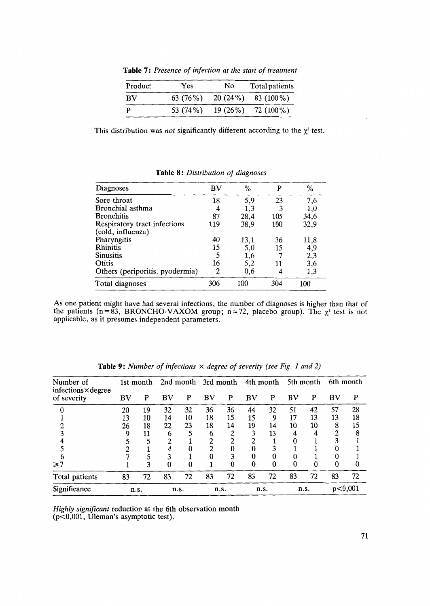| Product | Yes      | N <sub>0</sub> | Total patients |
|---------|----------|----------------|----------------|
| BV      | 63 (76%) | 20(24%)        | 83 (100 %)     |
| P       | 53 (74%) | $19(26\%)$     | 72 (100 %)     |

**Table 7:** *Presence of infection at the start of treatment* 

This distribution was *not* significantly different according to the  $\chi^2$  test.

| Diagnoses                                         | BV  | %    | p   | %        |
|---------------------------------------------------|-----|------|-----|----------|
| Sore throat                                       | 18  | 5,9  | 23  | 7,6      |
| Bronchial asthma                                  |     | 1,3  |     | $_{1,0}$ |
| <b>Bronchitis</b>                                 | 87  | 28,4 | 105 | 34,6     |
| Respiratory tract infections<br>(cold, influenza) | 119 | 38,9 | 100 | 32,9     |
| Pharyngitis                                       | 40  | 13,1 | 36  | 11,8     |
| Rhinitis                                          | 15  | 5,0  | 15  | 4,9      |
| <b>Sinusitis</b>                                  |     | 1,6  |     | 2,3      |
| Otitis                                            | 16  | 5,2  | 11  | 3,6      |
| Others (periporitis, pyodermia)                   | 2   | 0,6  |     | 1,3      |
| Total diagnoses                                   | 306 | 100  | 304 | 100      |

**Table 8** : *Distribution* of *diagnoses* 

**As** one patient might have had several infections, the number of diagnoses is higher than that of the patients ( $n = 83$ , BRONCHO-VAXOM group;  $n = 72$ , placebo group). The  $\chi^2$  test is not applicable, as it presumes independent parameters.

| Number of<br>infections×degree | 1st month |    |      |    | 2nd month 3rd month |    | 4th month |    | 5th month |      | 6th month |    |
|--------------------------------|-----------|----|------|----|---------------------|----|-----------|----|-----------|------|-----------|----|
| of severity                    | BV        | P  | BV   | P  | BV                  | P  | BV        | P  | BV        | P    | BV        | P  |
|                                | 20        | 19 | 32   | 32 | 36                  | 36 | 44        | 32 | 51        | 42   | 57        | 28 |
|                                | 13        | 10 | 14   | 10 | 18                  | 15 | 15        | 9  | 17        | 13   | 13        | 18 |
|                                | 26        | 18 | 22   | 23 | 18                  | 14 | 19        | 14 | 10        | 10   | 8         | 15 |
|                                | 9         | 11 | 6    |    | 6                   | 2  | 3         | 13 |           |      |           | O  |
|                                |           |    | າ    |    | ↑                   | 2  |           |    |           |      |           |    |
|                                |           |    |      |    | ∍                   |    |           |    |           |      |           |    |
|                                |           |    | 3    |    |                     |    |           |    |           |      |           |    |
| $\geq 7$                       |           | 3  | 0    |    |                     | 0  | 0         | 0  | 0         |      |           |    |
| Total patients                 | 83        | 72 | 83   | 72 | 83                  | 72 | 83        | 72 | 83        | 72   | 83        | 72 |
| Significance                   | n.s.      |    | n.s. |    | n.s.                |    | n.s.      |    |           | n.s. | p<0,001   |    |

**Table 9:** *Number of infections* **X** *degree of severity (see Fig. 1 and* 2)

*Highly significant* reduction at the 6th observation month  $(p<0,001, Uleman's$  asymptotic test).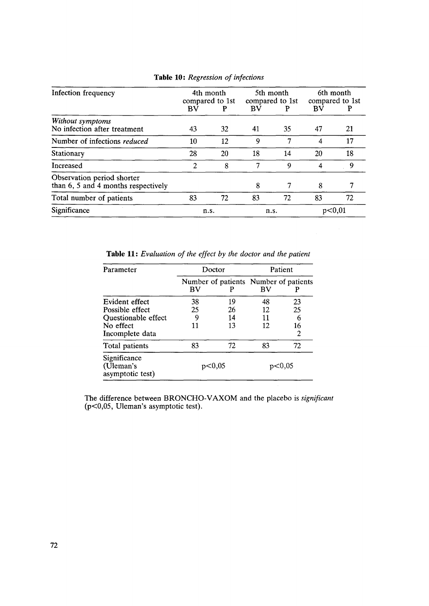| Infection frequency                                                   | 4th month<br>compared to 1st |    | 5th month<br>compared to 1st |    | 6th month<br>compared to 1st |    |
|-----------------------------------------------------------------------|------------------------------|----|------------------------------|----|------------------------------|----|
|                                                                       | BV                           | P  | BV                           |    | BV                           |    |
| Without symptoms<br>No infection after treatment                      | 43                           | 32 | 41                           | 35 | 47                           | 21 |
| Number of infections reduced                                          | 10                           | 12 | q                            |    | 4                            | 17 |
| Stationary                                                            | 28                           | 20 | 18                           | 14 | 20                           | 18 |
| Increased                                                             |                              | 8  |                              | 9  | 4                            | 9  |
| Observation period shorter<br>than $6, 5$ and $4$ months respectively |                              |    | 8                            |    | 8                            |    |
| Total number of patients                                              | 83                           | 72 | 83                           | 72 | 83                           | 72 |
| Significance                                                          | n.s.                         |    | n.s.                         |    | p<0,01                       |    |

<span id="page-6-0"></span>**Table 10:** *Regression of infections* 

**Table 11:** *Evaluation of the effect by the doctor and the patient* 

| Parameter                                     | Doctor |    | Patient |                                            |  |
|-----------------------------------------------|--------|----|---------|--------------------------------------------|--|
|                                               | BV     |    | BV      | Number of patients Number of patients<br>P |  |
| Evident effect                                | 38     | 19 | 48      | 23                                         |  |
| Possible effect                               | 25     | 26 | 12      | 25                                         |  |
| Questionable effect                           | 9      | 14 | 11      | 6                                          |  |
| No effect                                     | 11     | 13 | 12      | 16                                         |  |
| Incomplete data                               |        |    |         | 2                                          |  |
| Total patients                                | 83     | 72 | 83      | 72                                         |  |
| Significance<br>(Uleman's<br>asymptotic test) | p<0,05 |    | p<0,05  |                                            |  |

The difference between BRONCHO-VAXOM and the placebo **is** *significant*  (p<0,05, Uleman's asymptotic test).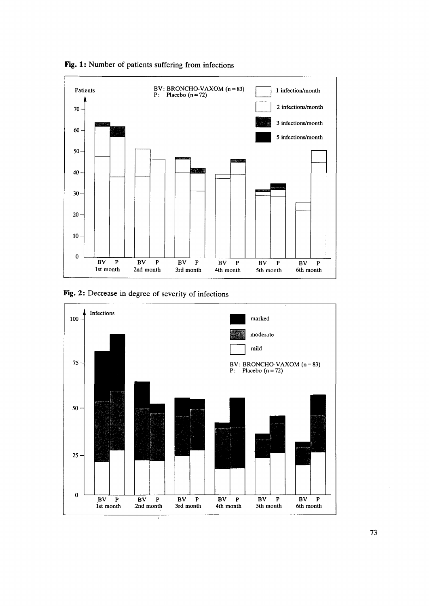

**Fig. 1:** Number of patients suffering from infections

**Fig. 2:** Decrease in degree of severity of infections

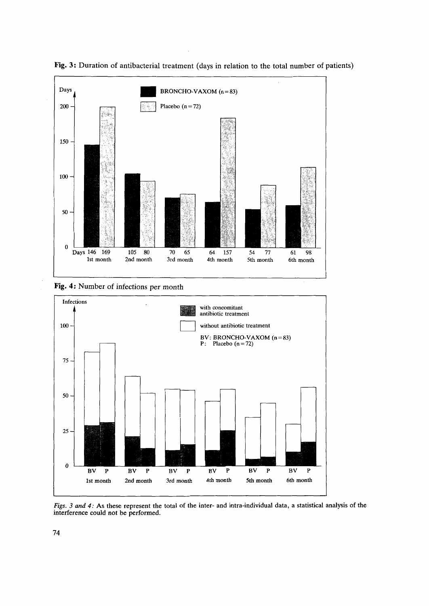

**Fig. 3:** Duration of antibacterial treatment (days in relation to the total number of patients)

**Fig. 4:** Number of infections per month



*Figs.* **3** *and 4:* **As** these represent the total of the inter- and intra-individual data, **a** statistical analysis of the interference could not be performed.

 $\bar{z}$